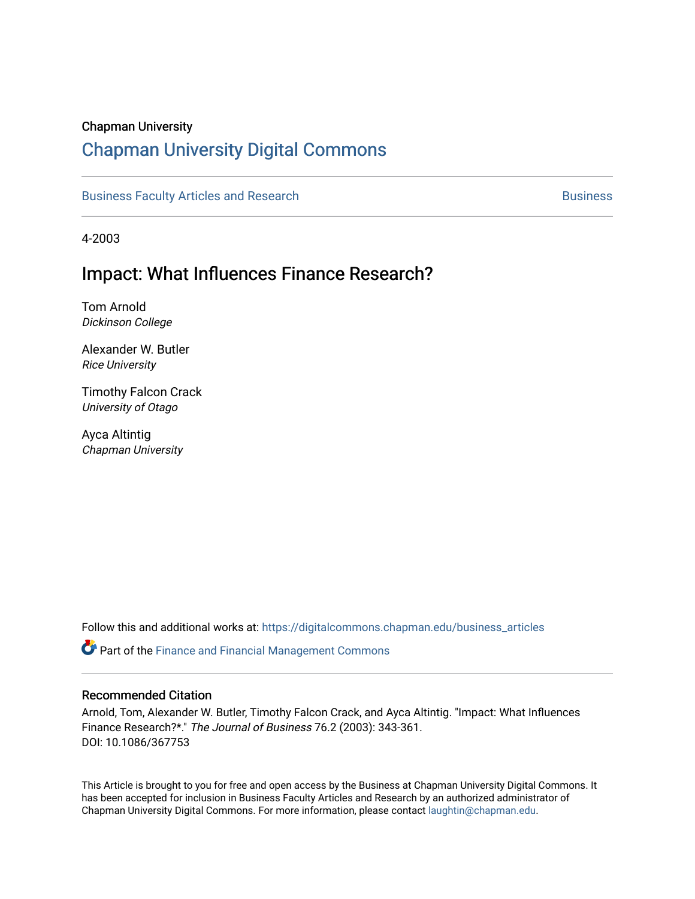# Chapman University

# [Chapman University Digital Commons](https://digitalcommons.chapman.edu/)

[Business Faculty Articles and Research](https://digitalcommons.chapman.edu/business_articles) [Business](https://digitalcommons.chapman.edu/business) **Business** Business

4-2003

# Impact: What Influences Finance Research?

Tom Arnold Dickinson College

Alexander W. Butler Rice University

Timothy Falcon Crack University of Otago

Ayca Altintig Chapman University

Follow this and additional works at: [https://digitalcommons.chapman.edu/business\\_articles](https://digitalcommons.chapman.edu/business_articles?utm_source=digitalcommons.chapman.edu%2Fbusiness_articles%2F15&utm_medium=PDF&utm_campaign=PDFCoverPages) 

Part of the [Finance and Financial Management Commons](http://network.bepress.com/hgg/discipline/631?utm_source=digitalcommons.chapman.edu%2Fbusiness_articles%2F15&utm_medium=PDF&utm_campaign=PDFCoverPages) 

# Recommended Citation

Arnold, Tom, Alexander W. Butler, Timothy Falcon Crack, and Ayca Altintig. "Impact: What Influences Finance Research?\*." The Journal of Business 76.2 (2003): 343-361. DOI: 10.1086/367753

This Article is brought to you for free and open access by the Business at Chapman University Digital Commons. It has been accepted for inclusion in Business Faculty Articles and Research by an authorized administrator of Chapman University Digital Commons. For more information, please contact [laughtin@chapman.edu](mailto:laughtin@chapman.edu).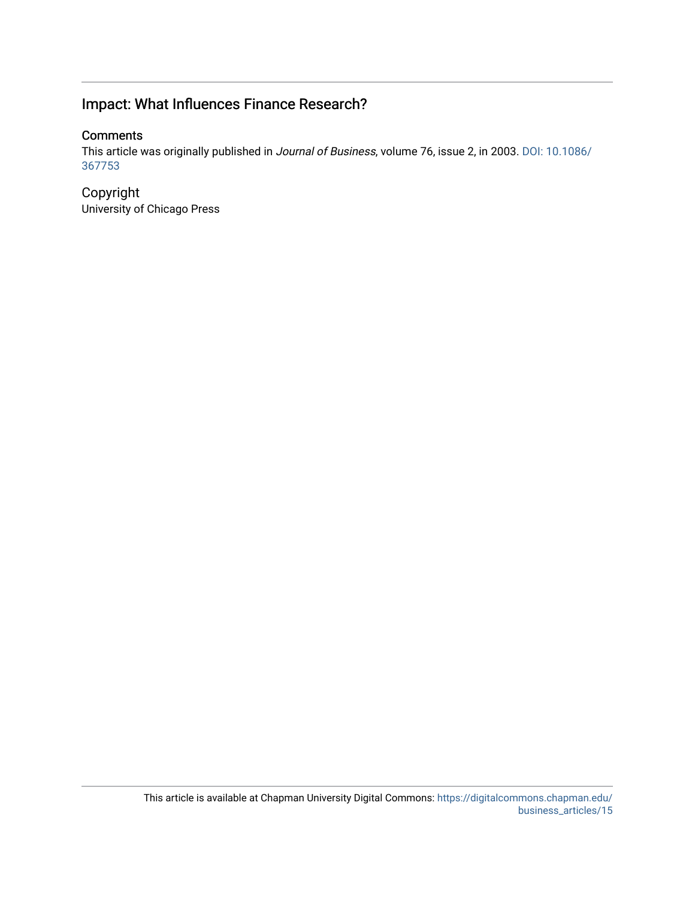# Impact: What Influences Finance Research?

# **Comments**

This article was originally published in Journal of Business, volume 76, issue 2, in 2003. [DOI: 10.1086/](http://dx.doi.org/10.1086/367753) [367753](http://dx.doi.org/10.1086/367753) 

Copyright University of Chicago Press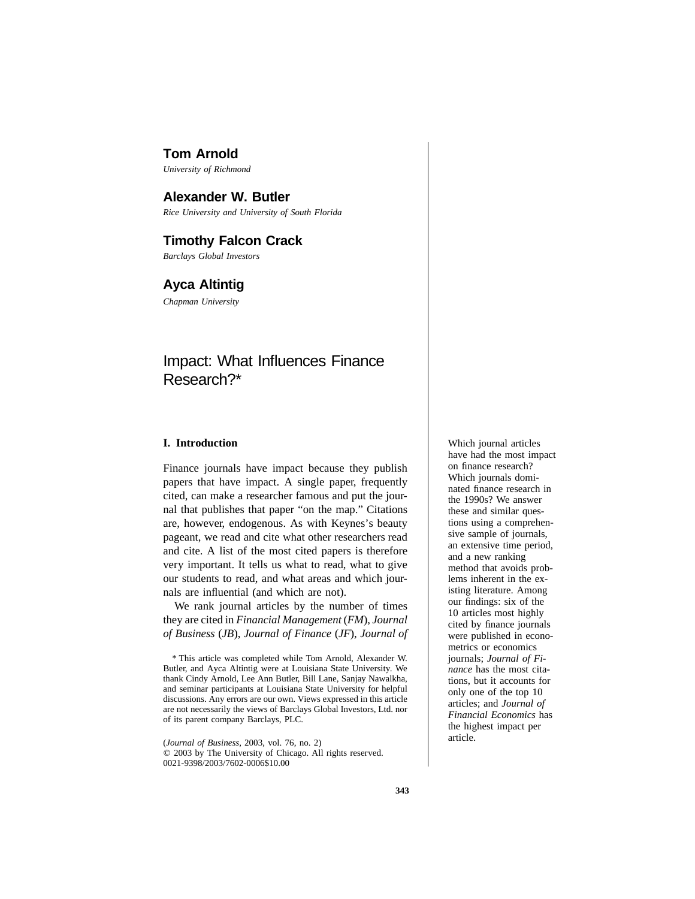## **Tom Arnold**

*University of Richmond*

## **Alexander W. Butler**

*Rice University and University of South Florida*

## **Timothy Falcon Crack**

*Barclays Global Investors*

## **Ayca Altintig**

*Chapman University*

# Impact: What Influences Finance Research?\*

### **I. Introduction**

Finance journals have impact because they publish papers that have impact. A single paper, frequently cited, can make a researcher famous and put the journal that publishes that paper "on the map." Citations are, however, endogenous. As with Keynes's beauty pageant, we read and cite what other researchers read and cite. A list of the most cited papers is therefore very important. It tells us what to read, what to give our students to read, and what areas and which journals are influential (and which are not).

We rank journal articles by the number of times they are cited in *Financial Management* (*FM*), *Journal of Business* (*JB*), *Journal of Finance* (*JF*), *Journal of*

(*Journal of Business*, 2003, vol. 76, no. 2)  $© 2003$  by The University of Chicago. All rights reserved. 0021-9398/2003/7602-0006\$10.00

Which journal articles have had the most impact on finance research? Which journals dominated finance research in the 1990s? We answer these and similar questions using a comprehensive sample of journals, an extensive time period, and a new ranking method that avoids problems inherent in the existing literature. Among our findings: six of the 10 articles most highly cited by finance journals were published in econometrics or economics journals; *Journal of Finance* has the most citations, but it accounts for only one of the top 10 articles; and *Journal of Financial Economics* has the highest impact per article.

<sup>\*</sup> This article was completed while Tom Arnold, Alexander W. Butler, and Ayca Altintig were at Louisiana State University. We thank Cindy Arnold, Lee Ann Butler, Bill Lane, Sanjay Nawalkha, and seminar participants at Louisiana State University for helpful discussions. Any errors are our own. Views expressed in this article are not necessarily the views of Barclays Global Investors, Ltd. nor of its parent company Barclays, PLC.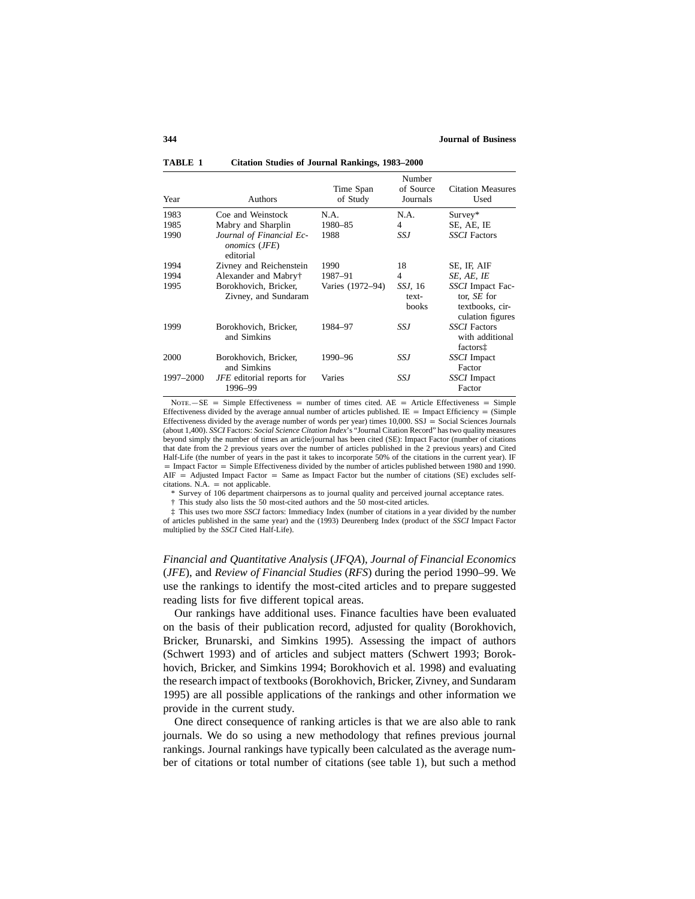|           |                                                                        |                       | Number                            |                                                                        |
|-----------|------------------------------------------------------------------------|-----------------------|-----------------------------------|------------------------------------------------------------------------|
| Year      | Authors                                                                | Time Span<br>of Study | of Source<br>Journals             | <b>Citation Measures</b><br>Used                                       |
|           |                                                                        |                       |                                   |                                                                        |
| 1983      | Coe and Weinstock                                                      | N.A.                  | N.A.                              | $Survev*$                                                              |
| 1985      | Mabry and Sharplin                                                     | 1980–85               | 4                                 | SE, AE, IE                                                             |
| 1990      | Journal of Financial Ec-<br><i>onomics</i> ( <i>JFE</i> )<br>editorial | 1988                  | SSJ                               | <b>SSCI</b> Factors                                                    |
| 1994      | Zivney and Reichenstein                                                | 1990                  | 18                                | SE, IF, AIF                                                            |
| 1994      | Alexander and Mabry†                                                   | 1987–91               | $\overline{4}$                    | SE, AE, IE                                                             |
| 1995      | Borokhovich, Bricker,<br>Zivney, and Sundaram                          | Varies (1972–94)      | <i>SSJ</i> , 16<br>text-<br>books | SSCI Impact Fac-<br>tor, SE for<br>textbooks, cir-<br>culation figures |
| 1999      | Borokhovich, Bricker,<br>and Simkins                                   | 1984–97               | SSJ                               | <b>SSCI</b> Factors<br>with additional<br>factors <sup>†</sup>         |
| 2000      | Borokhovich, Bricker,<br>and Simkins                                   | 1990–96               | SSJ                               | <i>SSCI</i> Impact<br>Factor                                           |
| 1997–2000 | JFE editorial reports for<br>1996–99                                   | Varies                | SSJ                               | <i>SSCI</i> Impact<br>Factor                                           |

| <b>TABLE 1</b> | <b>Citation Studies of Journal Rankings, 1983–2000</b> |  |
|----------------|--------------------------------------------------------|--|
|----------------|--------------------------------------------------------|--|

NOTE.  $-SE$  = Simple Effectiveness = number of times cited. AE = Article Effectiveness = Simple Effectiveness divided by the average annual number of articles published. IE = Impact Efficiency = (Simple Effectiveness divided by the average number of words per year) times  $10,000$ . SSJ = Social Sciences Journals (about 1,400). *SSCI* Factors: *Social Science Citation Index*'s "Journal Citation Record" has two quality measures beyond simply the number of times an article/journal has been cited (SE): Impact Factor (number of citations that date from the 2 previous years over the number of articles published in the 2 previous years) and Cited Half-Life (the number of years in the past it takes to incorporate 50% of the citations in the current year). IF  $p =$  Impact Factor  $p =$  Simple Effectiveness divided by the number of articles published between 1980 and 1990. AIF = Adjusted Impact Factor = Same as Impact Factor but the number of citations (SE) excludes self-

citations.  $N.A. = not applicable.$ 

\* Survey of 106 department chairpersons as to journal quality and perceived journal acceptance rates.

† This study also lists the 50 most-cited authors and the 50 most-cited articles.

‡ This uses two more *SSCI* factors: Immediacy Index (number of citations in a year divided by the number of articles published in the same year) and the (1993) Deurenberg Index (product of the *SSCI* Impact Factor multiplied by the *SSCI* Cited Half-Life).

*Financial and Quantitative Analysis* (*JFQA*), *Journal of Financial Economics* (*JFE*), and *Review of Financial Studies* (*RFS*) during the period 1990–99. We use the rankings to identify the most-cited articles and to prepare suggested reading lists for five different topical areas.

Our rankings have additional uses. Finance faculties have been evaluated on the basis of their publication record, adjusted for quality (Borokhovich, Bricker, Brunarski, and Simkins 1995). Assessing the impact of authors (Schwert 1993) and of articles and subject matters (Schwert 1993; Borokhovich, Bricker, and Simkins 1994; Borokhovich et al. 1998) and evaluating the research impact of textbooks (Borokhovich, Bricker, Zivney, and Sundaram 1995) are all possible applications of the rankings and other information we provide in the current study.

One direct consequence of ranking articles is that we are also able to rank journals. We do so using a new methodology that refines previous journal rankings. Journal rankings have typically been calculated as the average number of citations or total number of citations (see table 1), but such a method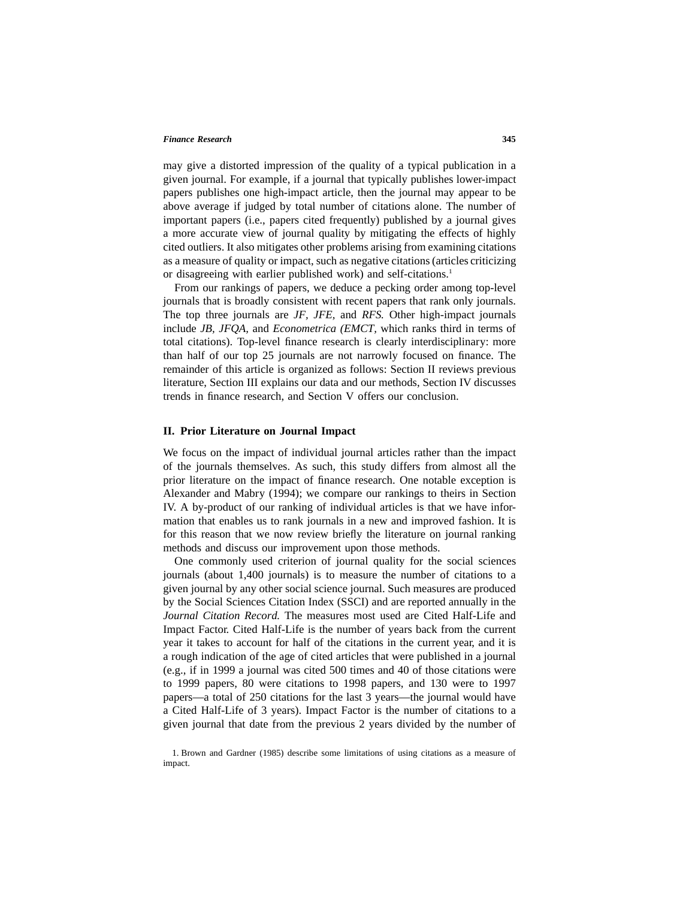may give a distorted impression of the quality of a typical publication in a given journal. For example, if a journal that typically publishes lower-impact papers publishes one high-impact article, then the journal may appear to be above average if judged by total number of citations alone. The number of important papers (i.e., papers cited frequently) published by a journal gives a more accurate view of journal quality by mitigating the effects of highly cited outliers. It also mitigates other problems arising from examining citations as a measure of quality or impact, such as negative citations (articles criticizing or disagreeing with earlier published work) and self-citations.<sup>1</sup>

From our rankings of papers, we deduce a pecking order among top-level journals that is broadly consistent with recent papers that rank only journals. The top three journals are *JF, JFE,* and *RFS.* Other high-impact journals include *JB, JFQA,* and *Econometrica (EMCT,* which ranks third in terms of total citations). Top-level finance research is clearly interdisciplinary: more than half of our top 25 journals are not narrowly focused on finance. The remainder of this article is organized as follows: Section II reviews previous literature, Section III explains our data and our methods, Section IV discusses trends in finance research, and Section V offers our conclusion.

### **II. Prior Literature on Journal Impact**

We focus on the impact of individual journal articles rather than the impact of the journals themselves. As such, this study differs from almost all the prior literature on the impact of finance research. One notable exception is Alexander and Mabry (1994); we compare our rankings to theirs in Section IV. A by-product of our ranking of individual articles is that we have information that enables us to rank journals in a new and improved fashion. It is for this reason that we now review briefly the literature on journal ranking methods and discuss our improvement upon those methods.

One commonly used criterion of journal quality for the social sciences journals (about 1,400 journals) is to measure the number of citations to a given journal by any other social science journal. Such measures are produced by the Social Sciences Citation Index (SSCI) and are reported annually in the *Journal Citation Record.* The measures most used are Cited Half-Life and Impact Factor. Cited Half-Life is the number of years back from the current year it takes to account for half of the citations in the current year, and it is a rough indication of the age of cited articles that were published in a journal (e.g., if in 1999 a journal was cited 500 times and 40 of those citations were to 1999 papers, 80 were citations to 1998 papers, and 130 were to 1997 papers—a total of 250 citations for the last 3 years—the journal would have a Cited Half-Life of 3 years). Impact Factor is the number of citations to a given journal that date from the previous 2 years divided by the number of

<sup>1.</sup> Brown and Gardner (1985) describe some limitations of using citations as a measure of impact.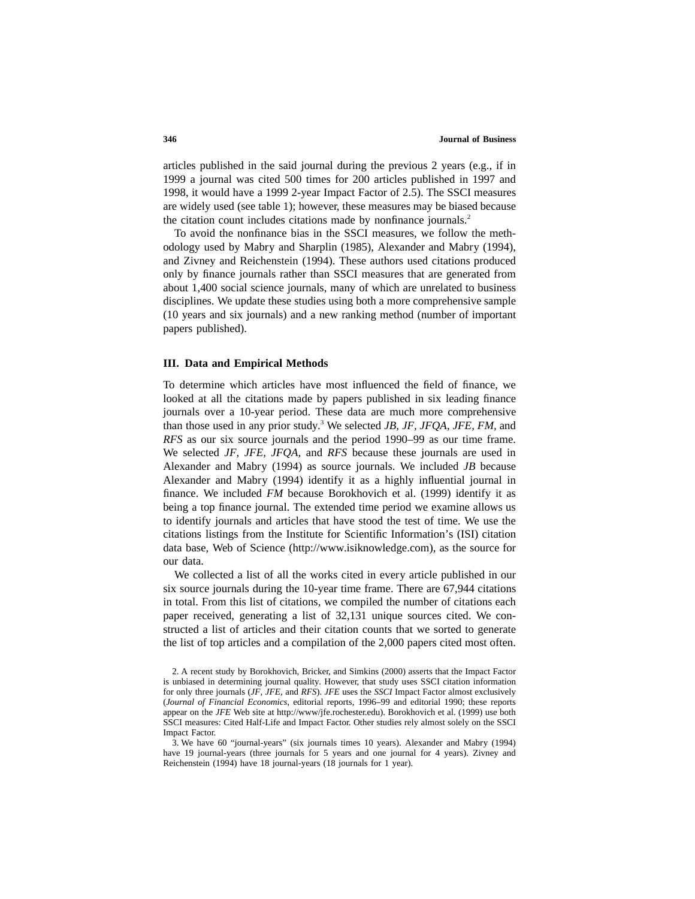articles published in the said journal during the previous 2 years (e.g., if in 1999 a journal was cited 500 times for 200 articles published in 1997 and 1998, it would have a 1999 2-year Impact Factor of 2.5). The SSCI measures are widely used (see table 1); however, these measures may be biased because the citation count includes citations made by nonfinance journals.2

To avoid the nonfinance bias in the SSCI measures, we follow the methodology used by Mabry and Sharplin (1985), Alexander and Mabry (1994), and Zivney and Reichenstein (1994). These authors used citations produced only by finance journals rather than SSCI measures that are generated from about 1,400 social science journals, many of which are unrelated to business disciplines. We update these studies using both a more comprehensive sample (10 years and six journals) and a new ranking method (number of important papers published).

#### **III. Data and Empirical Methods**

To determine which articles have most influenced the field of finance, we looked at all the citations made by papers published in six leading finance journals over a 10-year period. These data are much more comprehensive than those used in any prior study.3 We selected *JB, JF, JFQA, JFE, FM,* and *RFS* as our six source journals and the period 1990–99 as our time frame. We selected *JF, JFE, JFQA,* and *RFS* because these journals are used in Alexander and Mabry (1994) as source journals. We included *JB* because Alexander and Mabry (1994) identify it as a highly influential journal in finance. We included *FM* because Borokhovich et al. (1999) identify it as being a top finance journal. The extended time period we examine allows us to identify journals and articles that have stood the test of time. We use the citations listings from the Institute for Scientific Information's (ISI) citation data base, Web of Science (http://www.isiknowledge.com), as the source for our data.

We collected a list of all the works cited in every article published in our six source journals during the 10-year time frame. There are 67,944 citations in total. From this list of citations, we compiled the number of citations each paper received, generating a list of 32,131 unique sources cited. We constructed a list of articles and their citation counts that we sorted to generate the list of top articles and a compilation of the 2,000 papers cited most often.

<sup>2.</sup> A recent study by Borokhovich, Bricker, and Simkins (2000) asserts that the Impact Factor is unbiased in determining journal quality. However, that study uses SSCI citation information for only three journals (*JF, JFE,* and *RFS*). *JFE* uses the *SSCI* Impact Factor almost exclusively (*Journal of Financial Economics,* editorial reports, 1996–99 and editorial 1990; these reports appear on the *JFE* Web site at http://www/jfe.rochester.edu). Borokhovich et al. (1999) use both SSCI measures: Cited Half-Life and Impact Factor. Other studies rely almost solely on the SSCI Impact Factor.

<sup>3.</sup> We have 60 "journal-years" (six journals times 10 years). Alexander and Mabry (1994) have 19 journal-years (three journals for 5 years and one journal for 4 years). Zivney and Reichenstein (1994) have 18 journal-years (18 journals for 1 year).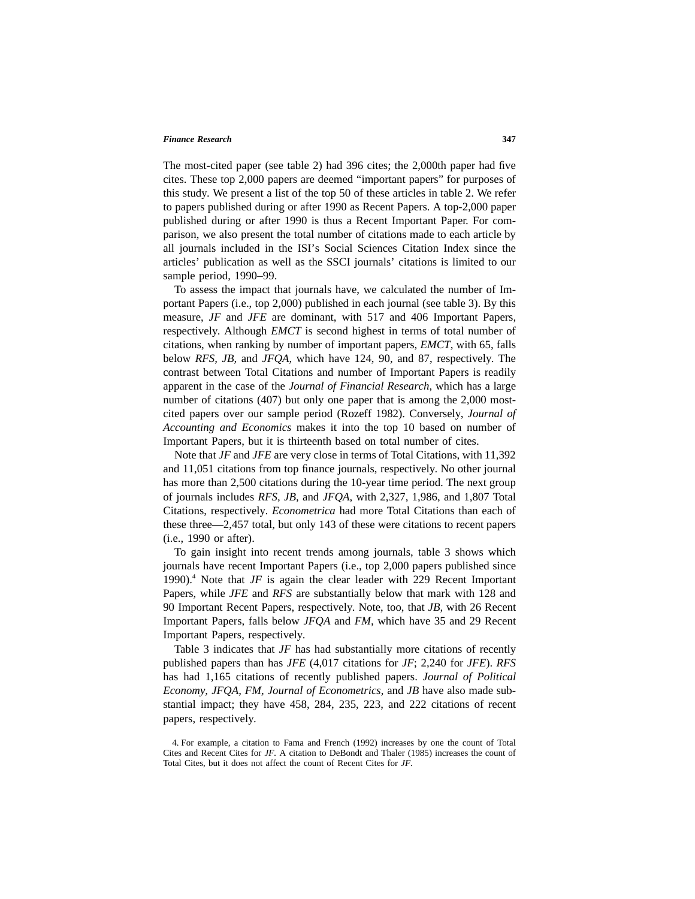The most-cited paper (see table 2) had 396 cites; the 2,000th paper had five cites. These top 2,000 papers are deemed "important papers" for purposes of this study. We present a list of the top 50 of these articles in table 2. We refer to papers published during or after 1990 as Recent Papers. A top-2,000 paper published during or after 1990 is thus a Recent Important Paper. For comparison, we also present the total number of citations made to each article by all journals included in the ISI's Social Sciences Citation Index since the articles' publication as well as the SSCI journals' citations is limited to our sample period, 1990–99.

To assess the impact that journals have, we calculated the number of Important Papers (i.e., top 2,000) published in each journal (see table 3). By this measure, *JF* and *JFE* are dominant, with 517 and 406 Important Papers, respectively. Although *EMCT* is second highest in terms of total number of citations, when ranking by number of important papers, *EMCT*, with 65, falls below *RFS, JB,* and *JFQA,* which have 124, 90, and 87, respectively. The contrast between Total Citations and number of Important Papers is readily apparent in the case of the *Journal of Financial Research*, which has a large number of citations (407) but only one paper that is among the 2,000 mostcited papers over our sample period (Rozeff 1982). Conversely, *Journal of Accounting and Economics* makes it into the top 10 based on number of Important Papers, but it is thirteenth based on total number of cites.

Note that *JF* and *JFE* are very close in terms of Total Citations, with 11,392 and 11,051 citations from top finance journals, respectively. No other journal has more than 2,500 citations during the 10-year time period. The next group of journals includes *RFS, JB,* and *JFQA*, with 2,327, 1,986, and 1,807 Total Citations, respectively. *Econometrica* had more Total Citations than each of these three—2,457 total, but only 143 of these were citations to recent papers (i.e., 1990 or after).

To gain insight into recent trends among journals, table 3 shows which journals have recent Important Papers (i.e., top 2,000 papers published since 1990).4 Note that *JF* is again the clear leader with 229 Recent Important Papers, while *JFE* and *RFS* are substantially below that mark with 128 and 90 Important Recent Papers, respectively. Note, too, that *JB,* with 26 Recent Important Papers, falls below *JFQA* and *FM,* which have 35 and 29 Recent Important Papers, respectively.

Table 3 indicates that *JF* has had substantially more citations of recently published papers than has *JFE* (4,017 citations for *JF*; 2,240 for *JFE*). *RFS* has had 1,165 citations of recently published papers. *Journal of Political Economy, JFQA, FM, Journal of Econometrics*, and *JB* have also made substantial impact; they have 458, 284, 235, 223, and 222 citations of recent papers, respectively.

<sup>4.</sup> For example, a citation to Fama and French (1992) increases by one the count of Total Cites and Recent Cites for *JF.* A citation to DeBondt and Thaler (1985) increases the count of Total Cites, but it does not affect the count of Recent Cites for *JF.*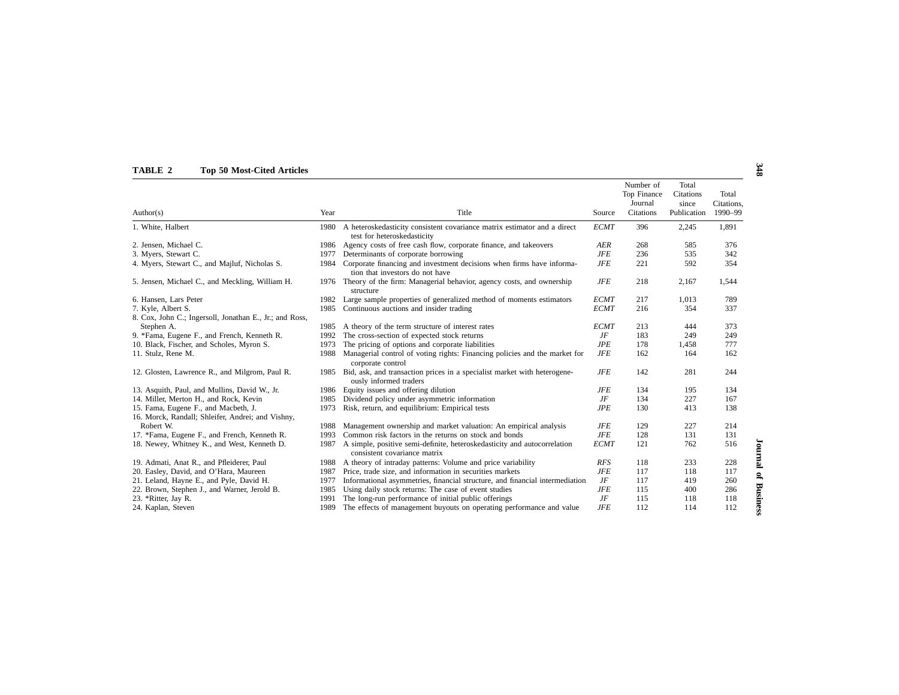| TABLE 2 |  | <b>Top 50 Most-Cited Articles</b> |  |
|---------|--|-----------------------------------|--|
|---------|--|-----------------------------------|--|

| <b>Top 50 Most-Cited Articles</b><br><b>TABLE 2</b>                                       |      |                                                                                                               |             |                                                  |                                                   |                                |
|-------------------------------------------------------------------------------------------|------|---------------------------------------------------------------------------------------------------------------|-------------|--------------------------------------------------|---------------------------------------------------|--------------------------------|
| Author(s)                                                                                 | Year | Title                                                                                                         | Source      | Number of<br>Top Finance<br>Journal<br>Citations | Total<br><b>Citations</b><br>since<br>Publication | Total<br>Citations.<br>1990-99 |
| 1. White, Halbert                                                                         | 1980 | A heteroskedasticity consistent covariance matrix estimator and a direct<br>test for heteroskedasticity       | <b>ECMT</b> | 396                                              | 2,245                                             | 1,891                          |
| 2. Jensen, Michael C.                                                                     |      | 1986 Agency costs of free cash flow, corporate finance, and takeovers                                         | <b>AER</b>  | 268                                              | 585                                               | 376                            |
| 3. Myers, Stewart C.                                                                      | 1977 | Determinants of corporate borrowing                                                                           | <b>JFE</b>  | 236                                              | 535                                               | 342                            |
| 4. Myers, Stewart C., and Majluf, Nicholas S.                                             |      | 1984 Corporate financing and investment decisions when firms have informa-<br>tion that investors do not have | <b>JFE</b>  | 221                                              | 592                                               | 354                            |
| 5. Jensen, Michael C., and Meckling, William H.                                           |      | 1976 Theory of the firm: Managerial behavior, agency costs, and ownership<br>structure                        | <b>JFE</b>  | 218                                              | 2,167                                             | 1,544                          |
| 6. Hansen, Lars Peter                                                                     |      | 1982 Large sample properties of generalized method of moments estimators                                      | <b>ECMT</b> | 217                                              | 1.013                                             | 789                            |
| 7. Kyle, Albert S.                                                                        |      | 1985 Continuous auctions and insider trading                                                                  | <b>ECMT</b> | 216                                              | 354                                               | 337                            |
| 8. Cox, John C.; Ingersoll, Jonathan E., Jr.; and Ross,                                   |      |                                                                                                               |             |                                                  |                                                   |                                |
| Stephen A.                                                                                | 1985 | A theory of the term structure of interest rates                                                              | <b>ECMT</b> | 213                                              | 444                                               | 373                            |
| 9. *Fama, Eugene F., and French, Kenneth R.                                               | 1992 | The cross-section of expected stock returns                                                                   | JF          | 183                                              | 249                                               | 249                            |
| 10. Black, Fischer, and Scholes, Myron S.                                                 | 1973 | The pricing of options and corporate liabilities                                                              | JPE         | 178                                              | 1,458                                             | 777                            |
| 11. Stulz, Rene M.                                                                        |      | 1988 Managerial control of voting rights: Financing policies and the market for<br>corporate control          | <b>JFE</b>  | 162                                              | 164                                               | 162                            |
| 12. Glosten, Lawrence R., and Milgrom, Paul R.                                            |      | 1985 Bid, ask, and transaction prices in a specialist market with heterogene-<br>ously informed traders       | <b>JFE</b>  | 142                                              | 281                                               | 244                            |
| 13. Asquith, Paul, and Mullins, David W., Jr.                                             |      | 1986 Equity issues and offering dilution                                                                      | <b>JFE</b>  | 134                                              | 195                                               | 134                            |
| 14. Miller, Merton H., and Rock, Kevin                                                    | 1985 | Dividend policy under asymmetric information                                                                  | JF          | 134                                              | 227                                               | 167                            |
| 15. Fama, Eugene F., and Macbeth, J.<br>16. Morck, Randall; Shleifer, Andrei; and Vishny, |      | 1973 Risk, return, and equilibrium: Empirical tests                                                           | JPE         | 130                                              | 413                                               | 138                            |
| Robert W.                                                                                 | 1988 | Management ownership and market valuation: An empirical analysis                                              | <b>JFE</b>  | 129                                              | 227                                               | 214                            |
| 17. *Fama, Eugene F., and French, Kenneth R.                                              | 1993 | Common risk factors in the returns on stock and bonds                                                         | <b>JFE</b>  | 128                                              | 131                                               | 131                            |
| 18. Newey, Whitney K., and West, Kenneth D.                                               |      | 1987 A simple, positive semi-definite, heteroskedasticity and autocorrelation<br>consistent covariance matrix | <b>ECMT</b> | 121                                              | 762                                               | 516                            |
| 19. Admati, Anat R., and Pfleiderer, Paul                                                 |      | 1988 A theory of intraday patterns: Volume and price variability                                              | <b>RFS</b>  | 118                                              | 233                                               | 228                            |
| 20. Easley, David, and O'Hara, Maureen                                                    | 1987 | Price, trade size, and information in securities markets                                                      | <b>JFE</b>  | 117                                              | 118                                               | 117                            |
| 21. Leland, Hayne E., and Pyle, David H.                                                  | 1977 | Informational asymmetries, financial structure, and financial intermediation                                  | JF          | 117                                              | 419                                               | 260                            |
| 22. Brown, Stephen J., and Warner, Jerold B.                                              | 1985 | Using daily stock returns: The case of event studies                                                          | <b>JFE</b>  | 115                                              | 400                                               | 286                            |
| 23. *Ritter, Jay R.                                                                       | 1991 | The long-run performance of initial public offerings                                                          | JF          | 115                                              | 118                                               | 118                            |
| 24. Kaplan, Steven                                                                        |      | 1989 The effects of management buyouts on operating performance and value                                     | <b>JFE</b>  | 112                                              | 114                                               | 112                            |
|                                                                                           |      |                                                                                                               |             |                                                  |                                                   |                                |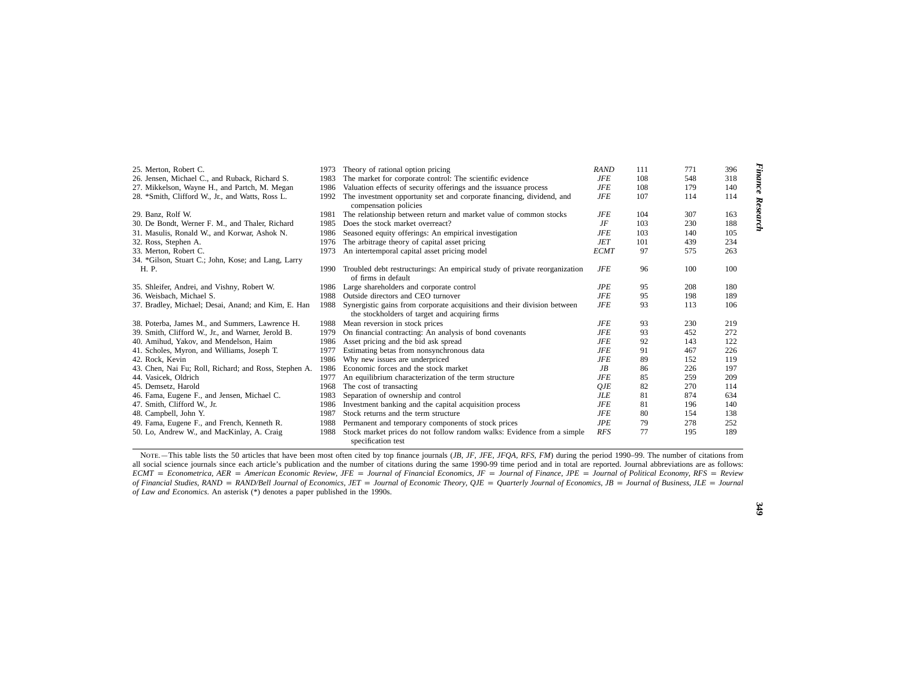| 25. Merton. Robert C.                                                           |      | 1973 Theory of rational option pricing                                                                                                                                                                                                                                                                                                                                                                                                                                                                                                                                                                                                                                                                                                                        | <b>RAND</b> | 111 | 771 | 396                            |
|---------------------------------------------------------------------------------|------|---------------------------------------------------------------------------------------------------------------------------------------------------------------------------------------------------------------------------------------------------------------------------------------------------------------------------------------------------------------------------------------------------------------------------------------------------------------------------------------------------------------------------------------------------------------------------------------------------------------------------------------------------------------------------------------------------------------------------------------------------------------|-------------|-----|-----|--------------------------------|
| 26. Jensen, Michael C., and Ruback, Richard S.                                  | 1983 | The market for corporate control: The scientific evidence                                                                                                                                                                                                                                                                                                                                                                                                                                                                                                                                                                                                                                                                                                     | <b>JFE</b>  | 108 | 548 | 318                            |
| 27. Mikkelson, Wayne H., and Partch, M. Megan                                   |      | 1986 Valuation effects of security offerings and the issuance process                                                                                                                                                                                                                                                                                                                                                                                                                                                                                                                                                                                                                                                                                         | <b>JFE</b>  | 108 | 179 | 140                            |
| 28. * Smith, Clifford W., Jr., and Watts, Ross L.                               |      | 1992 The investment opportunity set and corporate financing, dividend, and                                                                                                                                                                                                                                                                                                                                                                                                                                                                                                                                                                                                                                                                                    | <b>JFE</b>  | 107 | 114 | <b>Finance Research</b><br>114 |
|                                                                                 |      | compensation policies                                                                                                                                                                                                                                                                                                                                                                                                                                                                                                                                                                                                                                                                                                                                         |             |     |     |                                |
| 29. Banz. Rolf W.                                                               |      | 1981 The relationship between return and market value of common stocks                                                                                                                                                                                                                                                                                                                                                                                                                                                                                                                                                                                                                                                                                        | <b>JFE</b>  | 104 | 307 | 163                            |
| 30. De Bondt, Werner F. M., and Thaler, Richard                                 | 1985 | Does the stock market overreact?                                                                                                                                                                                                                                                                                                                                                                                                                                                                                                                                                                                                                                                                                                                              | JF          | 103 | 230 | 188                            |
| 31. Masulis, Ronald W., and Korwar, Ashok N.                                    | 1986 | Seasoned equity offerings: An empirical investigation                                                                                                                                                                                                                                                                                                                                                                                                                                                                                                                                                                                                                                                                                                         | $JFE$       | 103 | 140 | 105                            |
| 32. Ross, Stephen A.                                                            | 1976 | The arbitrage theory of capital asset pricing                                                                                                                                                                                                                                                                                                                                                                                                                                                                                                                                                                                                                                                                                                                 | <b>JET</b>  | 101 | 439 | 234                            |
| 33. Merton, Robert C.                                                           | 1973 | An intertemporal capital asset pricing model                                                                                                                                                                                                                                                                                                                                                                                                                                                                                                                                                                                                                                                                                                                  | <b>ECMT</b> | 97  | 575 | 263                            |
| 34. *Gilson, Stuart C.; John, Kose; and Lang, Larry                             |      |                                                                                                                                                                                                                                                                                                                                                                                                                                                                                                                                                                                                                                                                                                                                                               |             |     |     |                                |
| H. P.                                                                           |      | 1990 Troubled debt restructurings: An empirical study of private reorganization<br>of firms in default                                                                                                                                                                                                                                                                                                                                                                                                                                                                                                                                                                                                                                                        | <b>JFE</b>  | 96  | 100 | 100                            |
| 35. Shleifer, Andrei, and Vishny, Robert W.                                     |      | 1986 Large shareholders and corporate control                                                                                                                                                                                                                                                                                                                                                                                                                                                                                                                                                                                                                                                                                                                 | JPE         | 95  | 208 | 180                            |
| 36. Weisbach, Michael S.                                                        |      | 1988 Outside directors and CEO turnover                                                                                                                                                                                                                                                                                                                                                                                                                                                                                                                                                                                                                                                                                                                       | <b>JFE</b>  | 95  | 198 | 189                            |
| 37. Bradley, Michael; Desai, Anand; and Kim, E. Han                             |      | 1988 Synergistic gains from corporate acquisitions and their division between<br>the stockholders of target and acquiring firms                                                                                                                                                                                                                                                                                                                                                                                                                                                                                                                                                                                                                               | <b>JFE</b>  | 93  | 113 | 106                            |
| 38. Poterba, James M., and Summers, Lawrence H.                                 |      | 1988 Mean reversion in stock prices                                                                                                                                                                                                                                                                                                                                                                                                                                                                                                                                                                                                                                                                                                                           | <b>JFE</b>  | 93  | 230 | 219                            |
| 39. Smith, Clifford W., Jr., and Warner, Jerold B.                              |      | 1979 On financial contracting: An analysis of bond covenants                                                                                                                                                                                                                                                                                                                                                                                                                                                                                                                                                                                                                                                                                                  | <b>JFE</b>  | 93  | 452 | 272                            |
| 40. Amihud, Yakov, and Mendelson, Haim                                          |      | 1986 Asset pricing and the bid ask spread                                                                                                                                                                                                                                                                                                                                                                                                                                                                                                                                                                                                                                                                                                                     | <b>JFE</b>  | 92  | 143 | 122                            |
| 41. Scholes, Myron, and Williams, Joseph T.                                     | 1977 | Estimating betas from nonsynchronous data                                                                                                                                                                                                                                                                                                                                                                                                                                                                                                                                                                                                                                                                                                                     | <b>JFE</b>  | 91  | 467 | 226                            |
| 42. Rock, Kevin                                                                 | 1986 | Why new issues are underpriced                                                                                                                                                                                                                                                                                                                                                                                                                                                                                                                                                                                                                                                                                                                                | <b>JFE</b>  | 89  | 152 | 119                            |
| 43. Chen, Nai Fu; Roll, Richard; and Ross, Stephen A.                           | 1986 | Economic forces and the stock market                                                                                                                                                                                                                                                                                                                                                                                                                                                                                                                                                                                                                                                                                                                          | JB          | 86  | 226 | 197                            |
| 44. Vasicek, Oldrich                                                            | 1977 | An equilibrium characterization of the term structure                                                                                                                                                                                                                                                                                                                                                                                                                                                                                                                                                                                                                                                                                                         | <b>JFE</b>  | 85  | 259 | 209                            |
| 45. Demsetz, Harold                                                             | 1968 | The cost of transacting                                                                                                                                                                                                                                                                                                                                                                                                                                                                                                                                                                                                                                                                                                                                       | OJE         | 82  | 270 | 114                            |
| 46. Fama, Eugene F., and Jensen, Michael C.                                     | 1983 | Separation of ownership and control                                                                                                                                                                                                                                                                                                                                                                                                                                                                                                                                                                                                                                                                                                                           | <b>JLE</b>  | 81  | 874 | 634                            |
| 47. Smith, Clifford W., Jr.                                                     | 1986 | Investment banking and the capital acquisition process                                                                                                                                                                                                                                                                                                                                                                                                                                                                                                                                                                                                                                                                                                        | <b>JFE</b>  | 81  | 196 | 140                            |
| 48. Campbell, John Y.                                                           | 1987 | Stock returns and the term structure                                                                                                                                                                                                                                                                                                                                                                                                                                                                                                                                                                                                                                                                                                                          | <b>JFE</b>  | 80  | 154 | 138                            |
| 49. Fama, Eugene F., and French, Kenneth R.                                     | 1988 | Permanent and temporary components of stock prices                                                                                                                                                                                                                                                                                                                                                                                                                                                                                                                                                                                                                                                                                                            | JPE         | 79  | 278 | 252                            |
| 50. Lo, Andrew W., and MacKinlay, A. Craig                                      | 1988 | Stock market prices do not follow random walks: Evidence from a simple<br>specification test                                                                                                                                                                                                                                                                                                                                                                                                                                                                                                                                                                                                                                                                  | <b>RFS</b>  | 77  | 195 | 189                            |
| of Law and Economics. An asterisk $(*)$ denotes a paper published in the 1990s. |      | NOTE. - This table lists the 50 articles that have been most often cited by top finance journals (JB, JF, JFE, JFQA, RFS, FM) during the period 1990-99. The number of citations from<br>all social science journals since each article's publication and the number of citations during the same 1990-99 time period and in total are reported. Journal abbreviations are as follows:<br>$ECMT = Economic$ Kesser American Angles and Seven Economic Review, JFE = Journal of Financial Economics, JF = Journal of Finance, JPE = Journal of Political Economy, RFS = Review<br>of Financial Studies, RAND = RAND/Bell Journal of Economics, JET = Journal of Economic Theory, QJE = Quarterly Journal of Economics, JB = Journal of Business, JLE = Journal |             |     |     |                                |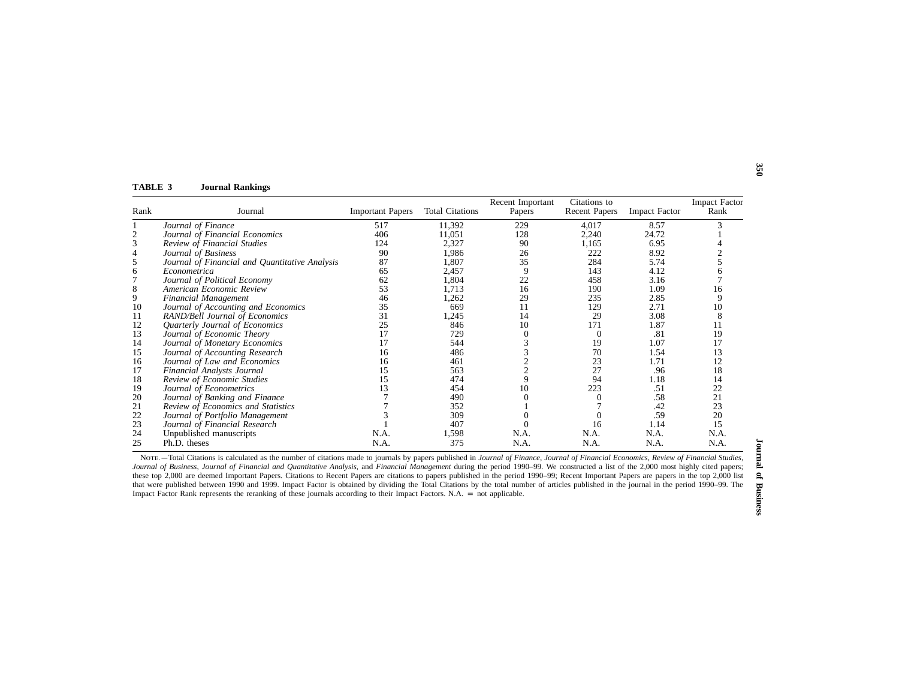| Rank | Journal                                        | <b>Important Papers</b> | <b>Total Citations</b> | Recent Important<br>Papers | Citations to<br><b>Recent Papers</b> | <b>Impact Factor</b> | <b>Impact Factor</b><br>Rank |
|------|------------------------------------------------|-------------------------|------------------------|----------------------------|--------------------------------------|----------------------|------------------------------|
| 1    | Journal of Finance                             | 517                     | 11.392                 | 229                        | 4.017                                | 8.57                 | 3                            |
|      | Journal of Financial Economics                 | 406                     | 11,051                 | 128                        | 2,240                                | 24.72                |                              |
|      | Review of Financial Studies                    | 124                     | 2.327                  | 90                         | 1.165                                | 6.95                 |                              |
|      | Journal of Business                            | 90                      | 1.986                  | 26                         | 222                                  | 8.92                 | $\overline{c}$               |
|      | Journal of Financial and Quantitative Analysis | 87                      | 1,807                  | 35                         | 284                                  | 5.74                 | 5                            |
|      | Econometrica                                   | 65                      | 2,457                  | 9                          | 143                                  | 4.12                 | 6                            |
|      | Journal of Political Economy                   | 62                      | 1.804                  | 22                         | 458                                  | 3.16                 | 7                            |
|      | American Economic Review                       | 53                      | 1,713                  | 16                         | 190                                  | 1.09                 | 16                           |
|      | <b>Financial Management</b>                    | 46                      | 1.262                  | 29                         | 235                                  | 2.85                 | 9                            |
| 10   | Journal of Accounting and Economics            | 35                      | 669                    | 11                         | 129                                  | 2.71                 | 10                           |
| 11   | RAND/Bell Journal of Economics                 | 31                      | 1.245                  | 14                         | 29                                   | 3.08                 | 8                            |
| 12   | Quarterly Journal of Economics                 | 25                      | 846                    | 10                         | 171                                  | 1.87                 | 11                           |
| 13   | Journal of Economic Theory                     | 17                      | 729                    | $\Omega$                   | $\Omega$                             | .81                  | 19                           |
| 14   | Journal of Monetary Economics                  | 17                      | 544                    | 3                          | 19                                   | 1.07                 | 17                           |
| 15   | Journal of Accounting Research                 | 16                      | 486                    | 3                          | 70                                   | 1.54                 | 13                           |
| 16   | Journal of Law and Economics                   | 16                      | 461                    | $\overline{2}$             | 23                                   | 1.71                 | 12                           |
| 17   | Financial Analysts Journal                     | 15                      | 563                    | $\overline{2}$             | 27                                   | .96                  | 18                           |
| 18   | Review of Economic Studies                     | 15                      | 474                    | 9                          | 94                                   | 1.18                 | 14                           |
| 19   | Journal of Econometrics                        | 13                      | 454                    | 10                         | 223                                  | .51                  | 22                           |
| 20   | Journal of Banking and Finance                 |                         | 490                    | $\Omega$                   | 0                                    | .58                  | 21                           |
| 21   | Review of Economics and Statistics             |                         | 352                    |                            |                                      | .42                  | 23                           |
| 22   | Journal of Portfolio Management                |                         | 309                    | $\Omega$                   |                                      | .59                  | 20                           |
| 23   | Journal of Financial Research                  |                         | 407                    | $\Omega$                   | 16                                   | 1.14                 | 15                           |
| 24   | Unpublished manuscripts                        | N.A.                    | 1.598                  | N.A.                       | N.A.                                 | N.A.                 | N.A.                         |
| 25   | Ph.D. theses                                   | N.A.                    | 375                    | N.A.                       | N.A.                                 | N.A.                 | N.A.                         |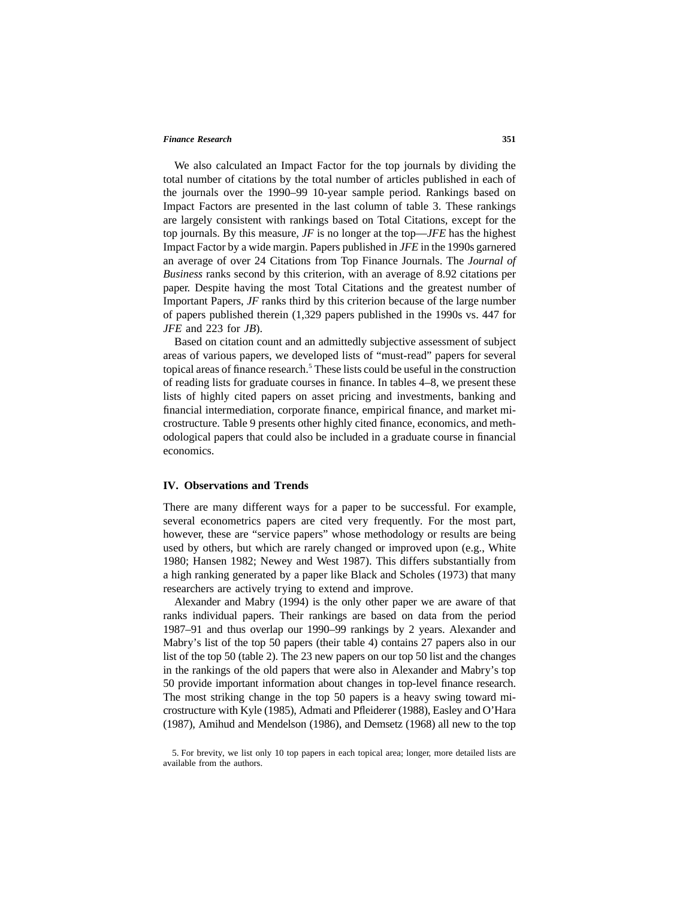We also calculated an Impact Factor for the top journals by dividing the total number of citations by the total number of articles published in each of the journals over the 1990–99 10-year sample period. Rankings based on Impact Factors are presented in the last column of table 3. These rankings are largely consistent with rankings based on Total Citations, except for the top journals. By this measure, *JF* is no longer at the top—*JFE* has the highest Impact Factor by a wide margin. Papers published in *JFE* in the 1990s garnered an average of over 24 Citations from Top Finance Journals. The *Journal of Business* ranks second by this criterion, with an average of 8.92 citations per paper. Despite having the most Total Citations and the greatest number of Important Papers, *JF* ranks third by this criterion because of the large number of papers published therein (1,329 papers published in the 1990s vs. 447 for *JFE* and 223 for *JB*).

Based on citation count and an admittedly subjective assessment of subject areas of various papers, we developed lists of "must-read" papers for several topical areas of finance research.<sup>5</sup> These lists could be useful in the construction of reading lists for graduate courses in finance. In tables 4–8, we present these lists of highly cited papers on asset pricing and investments, banking and financial intermediation, corporate finance, empirical finance, and market microstructure. Table 9 presents other highly cited finance, economics, and methodological papers that could also be included in a graduate course in financial economics.

### **IV. Observations and Trends**

There are many different ways for a paper to be successful. For example, several econometrics papers are cited very frequently. For the most part, however, these are "service papers" whose methodology or results are being used by others, but which are rarely changed or improved upon (e.g., White 1980; Hansen 1982; Newey and West 1987). This differs substantially from a high ranking generated by a paper like Black and Scholes (1973) that many researchers are actively trying to extend and improve.

Alexander and Mabry (1994) is the only other paper we are aware of that ranks individual papers. Their rankings are based on data from the period 1987–91 and thus overlap our 1990–99 rankings by 2 years. Alexander and Mabry's list of the top 50 papers (their table 4) contains 27 papers also in our list of the top 50 (table 2). The 23 new papers on our top 50 list and the changes in the rankings of the old papers that were also in Alexander and Mabry's top 50 provide important information about changes in top-level finance research. The most striking change in the top 50 papers is a heavy swing toward microstructure with Kyle (1985), Admati and Pfleiderer (1988), Easley and O'Hara (1987), Amihud and Mendelson (1986), and Demsetz (1968) all new to the top

<sup>5.</sup> For brevity, we list only 10 top papers in each topical area; longer, more detailed lists are available from the authors.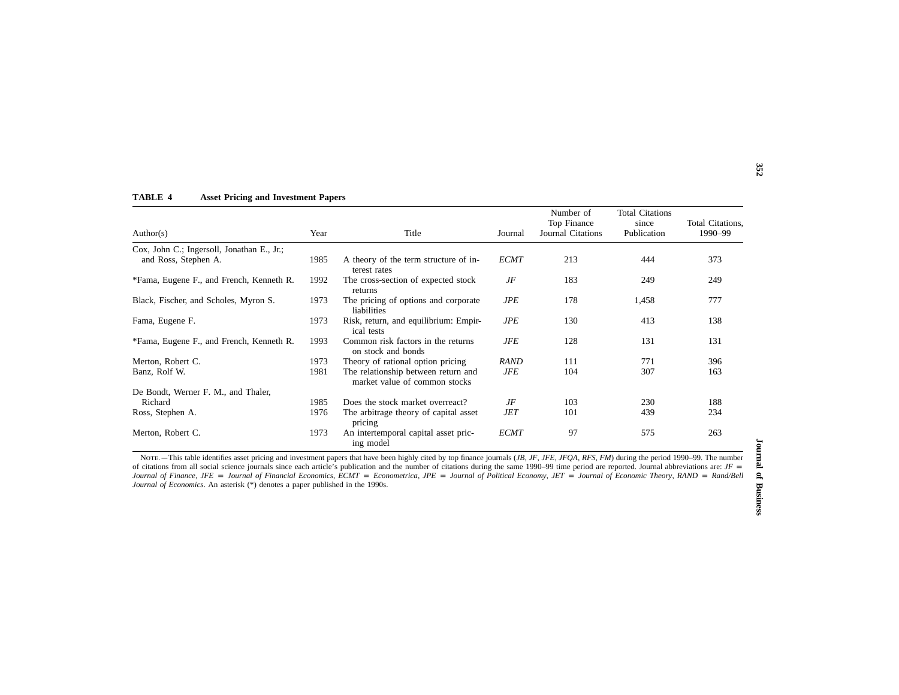| Author(s)                                                          | Year | Title                                                                | Journal     | Number of<br>Top Finance<br>Journal Citations | <b>Total Citations</b><br>since<br>Publication | Total Citations,<br>1990-99 |
|--------------------------------------------------------------------|------|----------------------------------------------------------------------|-------------|-----------------------------------------------|------------------------------------------------|-----------------------------|
| Cox, John C.; Ingersoll, Jonathan E., Jr.;<br>and Ross, Stephen A. | 1985 | A theory of the term structure of in-<br>terest rates                | <b>ECMT</b> | 213                                           | 444                                            | 373                         |
| *Fama, Eugene F., and French, Kenneth R.                           | 1992 | The cross-section of expected stock<br>returns                       | JF          | 183                                           | 249                                            | 249                         |
| Black, Fischer, and Scholes, Myron S.                              | 1973 | The pricing of options and corporate<br>liabilities                  | <b>JPE</b>  | 178                                           | 1,458                                          | 777                         |
| Fama, Eugene F.                                                    | 1973 | Risk, return, and equilibrium: Empir-<br>ical tests                  | <b>JPE</b>  | 130                                           | 413                                            | 138                         |
| *Fama, Eugene F., and French, Kenneth R.                           | 1993 | Common risk factors in the returns<br>on stock and bonds             | <b>JFE</b>  | 128                                           | 131                                            | 131                         |
| Merton, Robert C.                                                  | 1973 | Theory of rational option pricing                                    | <b>RAND</b> | 111                                           | 771                                            | 396                         |
| Banz, Rolf W.                                                      | 1981 | The relationship between return and<br>market value of common stocks | <b>JFE</b>  | 104                                           | 307                                            | 163                         |
| De Bondt, Werner F. M., and Thaler,                                |      |                                                                      |             |                                               |                                                |                             |
| Richard                                                            | 1985 | Does the stock market overreact?                                     | $J\bar{F}$  | 103                                           | 230                                            | 188                         |
| Ross, Stephen A.                                                   | 1976 | The arbitrage theory of capital asset<br>pricing                     | <b>JET</b>  | 101                                           | 439                                            | 234                         |
| Merton, Robert C.                                                  | 1973 | An intertemporal capital asset pric-<br>ing model                    | <b>ECMT</b> | 97                                            | 575                                            | 263                         |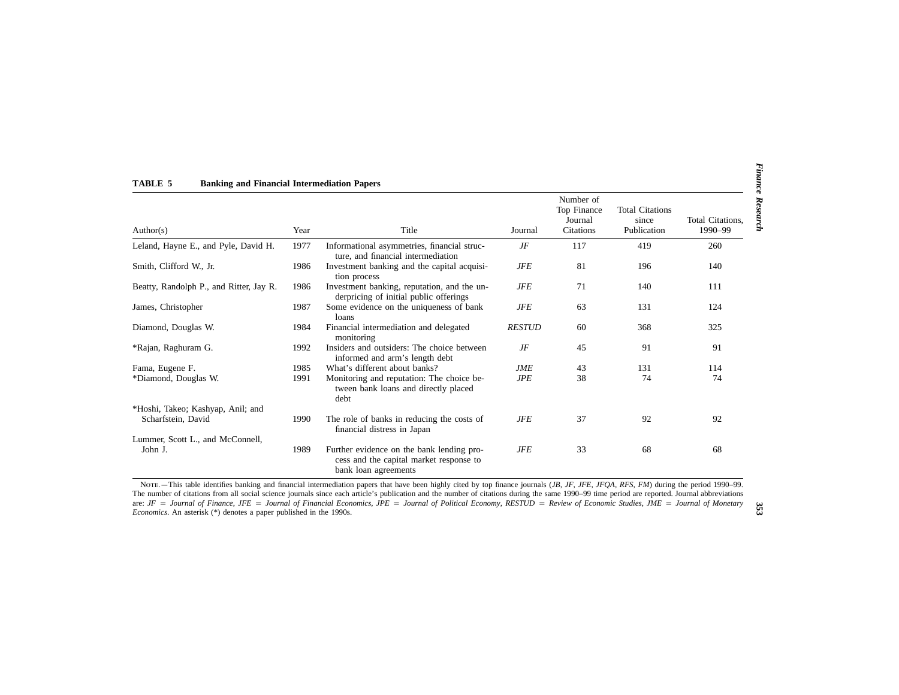| Author(s)                                   | Year | Title                                                                                     | Journal       | Number of<br>Top Finance<br>Journal<br>Citations | <b>Total Citations</b><br>since<br>Publication | Total Citations,<br>1990-99 |
|---------------------------------------------|------|-------------------------------------------------------------------------------------------|---------------|--------------------------------------------------|------------------------------------------------|-----------------------------|
| Leland, Hayne E., and Pyle, David H.        | 1977 | Informational asymmetries, financial struc-<br>ture, and financial intermediation         | JF            | 117                                              | 419                                            | 260                         |
| Smith, Clifford W., Jr.                     | 1986 | Investment banking and the capital acquisi-<br>tion process                               | <b>JFE</b>    | 81                                               | 196                                            | 140                         |
| Beatty, Randolph P., and Ritter, Jay R.     | 1986 | Investment banking, reputation, and the un-<br>derpricing of initial public offerings     | <b>JFE</b>    | 71                                               | 140                                            | 111                         |
| James, Christopher                          | 1987 | Some evidence on the uniqueness of bank<br>loans                                          | <b>JFE</b>    | 63                                               | 131                                            | 124                         |
| Diamond, Douglas W.                         | 1984 | Financial intermediation and delegated<br>monitoring                                      | <b>RESTUD</b> | 60                                               | 368                                            | 325                         |
| *Rajan, Raghuram G.                         | 1992 | Insiders and outsiders: The choice between<br>informed and arm's length debt              | JF            | 45                                               | 91                                             | 91                          |
| Fama, Eugene F.                             | 1985 | What's different about banks?                                                             | <b>JME</b>    | 43                                               | 131                                            | 114                         |
| *Diamond, Douglas W.                        | 1991 | Monitoring and reputation: The choice be-<br>tween bank loans and directly placed<br>debt | JPE           | 38                                               | 74                                             | 74                          |
| *Hoshi, Takeo; Kashyap, Anil; and           |      |                                                                                           |               |                                                  |                                                |                             |
| Scharfstein, David                          | 1990 | The role of banks in reducing the costs of<br>financial distress in Japan                 | <b>JFE</b>    | 37                                               | 92                                             | 92                          |
| Lummer, Scott L., and McConnell,<br>John J. | 1989 | Further evidence on the bank lending pro-                                                 | JFE           | 33                                               | 68                                             | 68                          |
|                                             |      | cess and the capital market response to<br>bank loan agreements                           |               |                                                  |                                                |                             |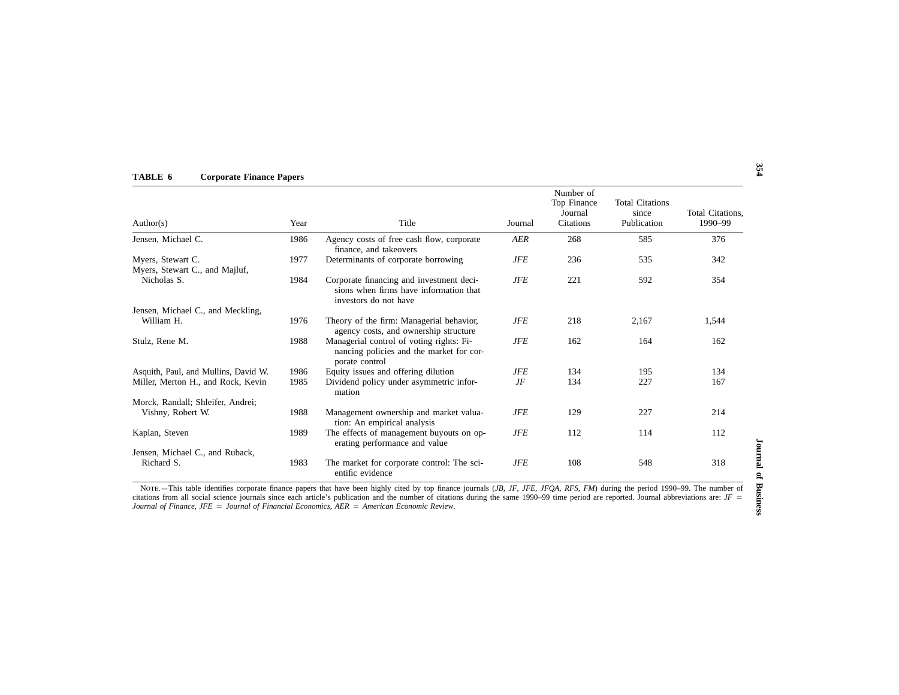| TABLE 6 | <b>Corporate Finance Papers</b> |  |  |
|---------|---------------------------------|--|--|
|---------|---------------------------------|--|--|

| Author(s)                                           | Year | Title                                                                                                       | Journal    | Number of<br>Top Finance<br>Journal<br><b>Citations</b> | <b>Total Citations</b><br>since<br>Publication | Total Citations.<br>1990-99 |
|-----------------------------------------------------|------|-------------------------------------------------------------------------------------------------------------|------------|---------------------------------------------------------|------------------------------------------------|-----------------------------|
| Jensen, Michael C.                                  | 1986 | Agency costs of free cash flow, corporate<br>finance, and takeovers                                         | <b>AER</b> | 268                                                     | 585                                            | 376                         |
| Myers, Stewart C.<br>Myers, Stewart C., and Majluf, | 1977 | Determinants of corporate borrowing                                                                         | <b>JFE</b> | 236                                                     | 535                                            | 342                         |
| Nicholas S.                                         | 1984 | Corporate financing and investment deci-<br>sions when firms have information that<br>investors do not have | <b>JFE</b> | 221                                                     | 592                                            | 354                         |
| Jensen, Michael C., and Meckling,                   |      |                                                                                                             |            |                                                         |                                                |                             |
| William H.                                          | 1976 | Theory of the firm: Managerial behavior,<br>agency costs, and ownership structure                           | <b>JFE</b> | 218                                                     | 2,167                                          | 1,544                       |
| Stulz, Rene M.                                      | 1988 | Managerial control of voting rights: Fi-<br>nancing policies and the market for cor-<br>porate control      | <b>JFE</b> | 162                                                     | 164                                            | 162                         |
| Asquith, Paul, and Mullins, David W.                | 1986 | Equity issues and offering dilution                                                                         | <b>JFE</b> | 134                                                     | 195                                            | 134                         |
| Miller, Merton H., and Rock, Kevin                  | 1985 | Dividend policy under asymmetric infor-<br>mation                                                           | JF         | 134                                                     | 227                                            | 167                         |
| Morck, Randall; Shleifer, Andrei;                   | 1988 |                                                                                                             | <b>JFE</b> | 129                                                     | 227                                            | 214                         |
| Vishny, Robert W.                                   |      | Management ownership and market valua-<br>tion: An empirical analysis                                       |            |                                                         |                                                |                             |
| Kaplan, Steven                                      | 1989 | The effects of management buyouts on op-<br>erating performance and value                                   | <b>JFE</b> | 112                                                     | 114                                            | 112                         |
| Jensen, Michael C., and Ruback,                     |      |                                                                                                             |            |                                                         |                                                |                             |
| Richard S.                                          | 1983 | The market for corporate control: The sci-<br>entific evidence                                              | <b>JFE</b> | 108                                                     | 548                                            | 318                         |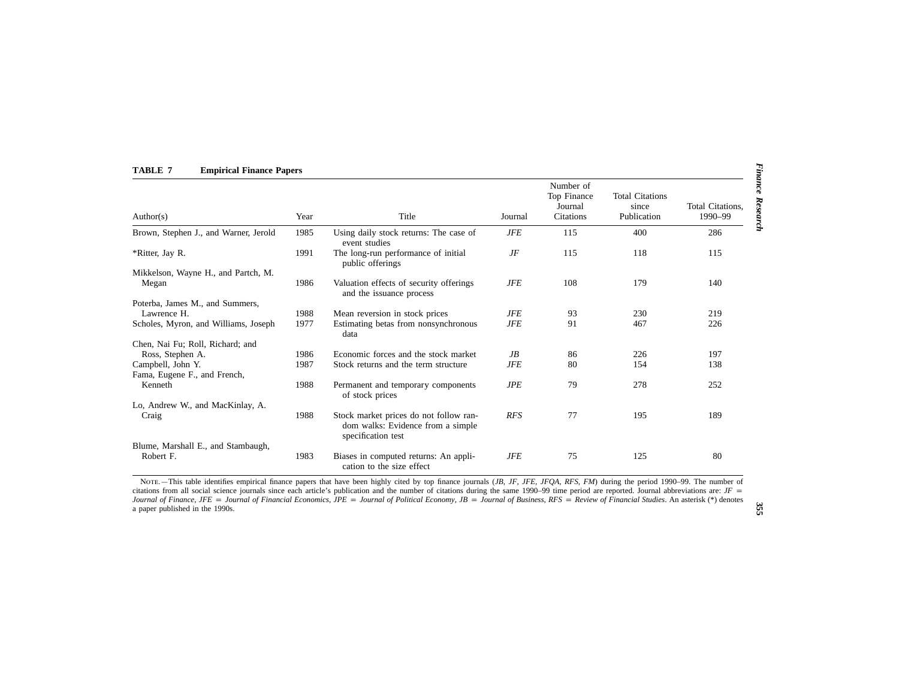| Author(s)                             | Year | Title                                                                                             | Journal    | Number of<br>Top Finance<br>Journal<br>Citations | <b>Total Citations</b><br>since<br>Publication | Total Citations.<br>1990-99 |
|---------------------------------------|------|---------------------------------------------------------------------------------------------------|------------|--------------------------------------------------|------------------------------------------------|-----------------------------|
| Brown, Stephen J., and Warner, Jerold | 1985 | Using daily stock returns: The case of<br>event studies                                           | <b>JFE</b> | 115                                              | 400                                            | 286                         |
| *Ritter, Jay R.                       | 1991 | The long-run performance of initial<br>public offerings                                           | JF         | 115                                              | 118                                            | 115                         |
| Mikkelson, Wayne H., and Partch, M.   |      |                                                                                                   |            |                                                  |                                                |                             |
| Megan                                 | 1986 | Valuation effects of security offerings<br>and the issuance process                               | <b>JFE</b> | 108                                              | 179                                            | 140                         |
| Poterba, James M., and Summers,       |      |                                                                                                   |            |                                                  |                                                |                             |
| Lawrence H.                           | 1988 | Mean reversion in stock prices                                                                    | <b>JFE</b> | 93                                               | 230                                            | 219                         |
| Scholes, Myron, and Williams, Joseph  | 1977 | Estimating betas from nonsynchronous<br>data                                                      | <b>JFE</b> | 91                                               | 467                                            | 226                         |
| Chen, Nai Fu; Roll, Richard; and      |      |                                                                                                   |            |                                                  |                                                |                             |
| Ross, Stephen A.                      | 1986 | Economic forces and the stock market                                                              | JB         | 86                                               | 226                                            | 197                         |
| Campbell, John Y.                     | 1987 | Stock returns and the term structure                                                              | <b>JFE</b> | 80                                               | 154                                            | 138                         |
| Fama, Eugene F., and French,          |      |                                                                                                   |            |                                                  |                                                |                             |
| Kenneth                               | 1988 | Permanent and temporary components<br>of stock prices                                             | <b>JPE</b> | 79                                               | 278                                            | 252                         |
| Lo, Andrew W., and MacKinlay, A.      |      |                                                                                                   |            |                                                  |                                                |                             |
| Craig                                 | 1988 | Stock market prices do not follow ran-<br>dom walks: Evidence from a simple<br>specification test | <b>RFS</b> | 77                                               | 195                                            | 189                         |
| Blume, Marshall E., and Stambaugh,    |      |                                                                                                   |            |                                                  |                                                |                             |
| Robert F.                             | 1983 | Biases in computed returns: An appli-<br>cation to the size effect                                | <b>JFE</b> | 75                                               | 125                                            | 80                          |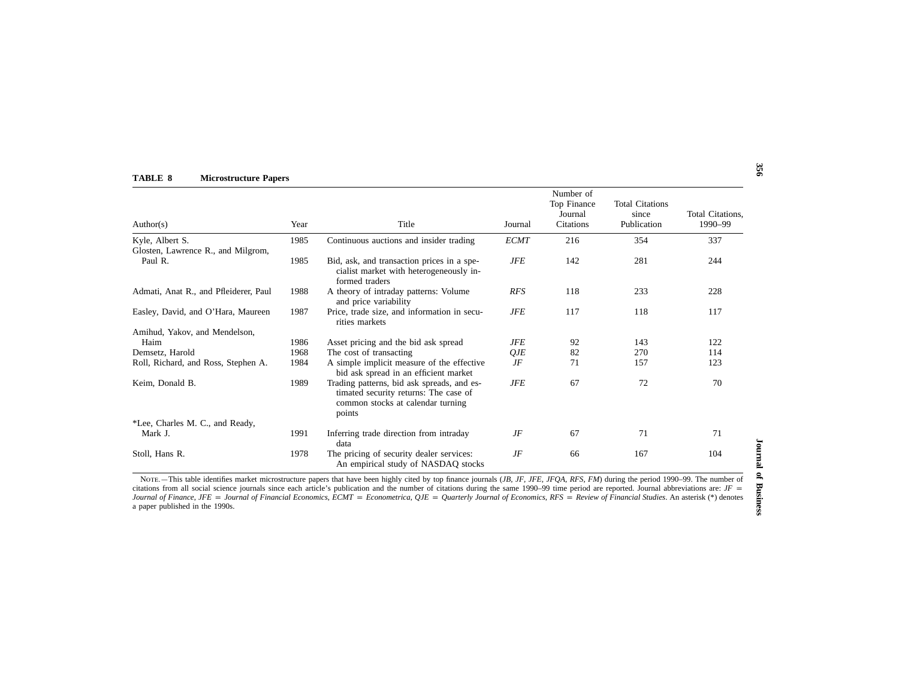| Author(s)                                     | Year | Title                                                                                                                              | Journal     | Number of<br>Top Finance<br>Journal<br><b>Citations</b> | <b>Total Citations</b><br>since<br>Publication | Total Citations,<br>1990-99 |
|-----------------------------------------------|------|------------------------------------------------------------------------------------------------------------------------------------|-------------|---------------------------------------------------------|------------------------------------------------|-----------------------------|
| Kyle, Albert S.                               | 1985 | Continuous auctions and insider trading                                                                                            | <b>ECMT</b> | 216                                                     | 354                                            | 337                         |
| Glosten, Lawrence R., and Milgrom,<br>Paul R. | 1985 | Bid, ask, and transaction prices in a spe-<br>cialist market with heterogeneously in-<br>formed traders                            | <b>JFE</b>  | 142                                                     | 281                                            | 244                         |
| Admati, Anat R., and Pfleiderer, Paul         | 1988 | A theory of intraday patterns: Volume<br>and price variability                                                                     | <b>RFS</b>  | 118                                                     | 233                                            | 228                         |
| Easley, David, and O'Hara, Maureen            | 1987 | Price, trade size, and information in secu-<br>rities markets                                                                      | <b>JFE</b>  | 117                                                     | 118                                            | 117                         |
| Amihud, Yakov, and Mendelson,                 |      |                                                                                                                                    |             |                                                         |                                                |                             |
| Haim                                          | 1986 | Asset pricing and the bid ask spread                                                                                               | <b>JFE</b>  | 92                                                      | 143                                            | 122                         |
| Demsetz, Harold                               | 1968 | The cost of transacting                                                                                                            | OJE         | 82                                                      | 270                                            | 114                         |
| Roll, Richard, and Ross, Stephen A.           | 1984 | A simple implicit measure of the effective<br>bid ask spread in an efficient market                                                | JF          | 71                                                      | 157                                            | 123                         |
| Keim. Donald B.                               | 1989 | Trading patterns, bid ask spreads, and es-<br>timated security returns: The case of<br>common stocks at calendar turning<br>points | <b>JFE</b>  | 67                                                      | 72                                             | 70                          |
| *Lee, Charles M. C., and Ready,               |      |                                                                                                                                    |             |                                                         |                                                |                             |
| Mark J.                                       | 1991 | Inferring trade direction from intraday<br>data                                                                                    | JF          | 67                                                      | 71                                             | 71                          |
| Stoll, Hans R.                                | 1978 | The pricing of security dealer services:<br>An empirical study of NASDAQ stocks                                                    | JF          | 66                                                      | 167                                            | 104                         |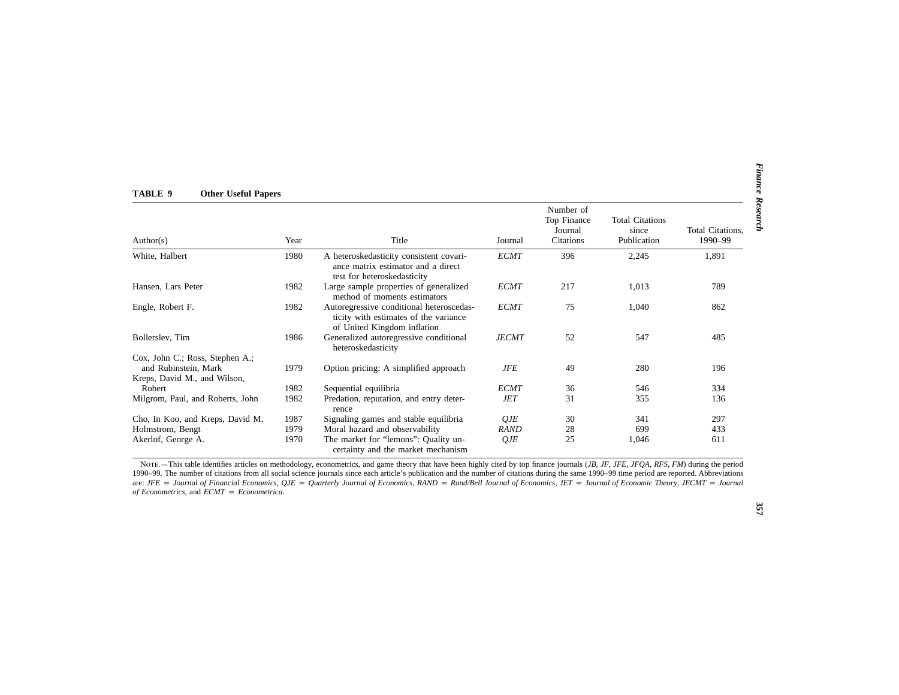| Author(s)                                                                               | Year | Title                                                                                                                                                                                                                                                                                                                                                                                                                                                                                                                                                                | Journal      | Number of<br>Top Finance<br>Journal<br><b>Citations</b> | <b>Total Citations</b><br>since<br>Publication | Total Citations,<br>1990-99 |
|-----------------------------------------------------------------------------------------|------|----------------------------------------------------------------------------------------------------------------------------------------------------------------------------------------------------------------------------------------------------------------------------------------------------------------------------------------------------------------------------------------------------------------------------------------------------------------------------------------------------------------------------------------------------------------------|--------------|---------------------------------------------------------|------------------------------------------------|-----------------------------|
| White, Halbert                                                                          | 1980 | A heteroskedasticity consistent covari-<br>ance matrix estimator and a direct<br>test for heteroskedasticity                                                                                                                                                                                                                                                                                                                                                                                                                                                         | <b>ECMT</b>  | 396                                                     | 2,245                                          | 1,891                       |
| Hansen, Lars Peter                                                                      | 1982 | Large sample properties of generalized<br>method of moments estimators                                                                                                                                                                                                                                                                                                                                                                                                                                                                                               | <b>ECMT</b>  | 217                                                     | 1,013                                          | 789                         |
| Engle, Robert F.                                                                        | 1982 | Autoregressive conditional heteroscedas-<br>ticity with estimates of the variance<br>of United Kingdom inflation                                                                                                                                                                                                                                                                                                                                                                                                                                                     | <b>ECMT</b>  | 75                                                      | 1,040                                          | 862                         |
| Bollerslev, Tim                                                                         | 1986 | Generalized autoregressive conditional<br>heteroskedasticity                                                                                                                                                                                                                                                                                                                                                                                                                                                                                                         | <b>JECMT</b> | 52                                                      | 547                                            | 485                         |
| Cox, John C.; Ross, Stephen A.;<br>and Rubinstein, Mark<br>Kreps, David M., and Wilson, | 1979 | Option pricing: A simplified approach                                                                                                                                                                                                                                                                                                                                                                                                                                                                                                                                | <b>JFE</b>   | 49                                                      | 280                                            | 196                         |
| Robert                                                                                  | 1982 | Sequential equilibria                                                                                                                                                                                                                                                                                                                                                                                                                                                                                                                                                | <b>ECMT</b>  | 36                                                      | 546                                            | 334                         |
| Milgrom, Paul, and Roberts, John                                                        | 1982 | Predation, reputation, and entry deter-<br>rence                                                                                                                                                                                                                                                                                                                                                                                                                                                                                                                     | <b>JET</b>   | 31                                                      | 355                                            | 136                         |
| Cho, In Koo, and Kreps, David M.                                                        | 1987 | Signaling games and stable equilibria                                                                                                                                                                                                                                                                                                                                                                                                                                                                                                                                | <i>OJE</i>   | 30                                                      | 341                                            | 297                         |
| Holmstrom, Bengt                                                                        | 1979 | Moral hazard and observability                                                                                                                                                                                                                                                                                                                                                                                                                                                                                                                                       | <b>RAND</b>  | 28                                                      | 699                                            | 433                         |
| Akerlof, George A.                                                                      | 1970 | The market for "lemons": Quality un-<br>certainty and the market mechanism                                                                                                                                                                                                                                                                                                                                                                                                                                                                                           | QJE          | 25                                                      | 1,046                                          | 611                         |
| of Econometrics, and $ECMT = Econometrica$ .                                            |      | NOTE.—This table identifies articles on methodology, econometrics, and game theory that have been highly cited by top finance journals (JB, JF, JFE, JFQA, RFS, FM) during the period<br>1990–99. The number of citations from all social science journals since each article's publication and the number of citations during the same 1990–99 time period are reported. Abbreviations<br>are: JFE = Journal of Financial Economics, QJE = Quarterly Journal of Economics, RAND = Rand/Bell Journal of Economics, JET = Journal of Economic Theory, JECMT = Journal |              |                                                         |                                                |                             |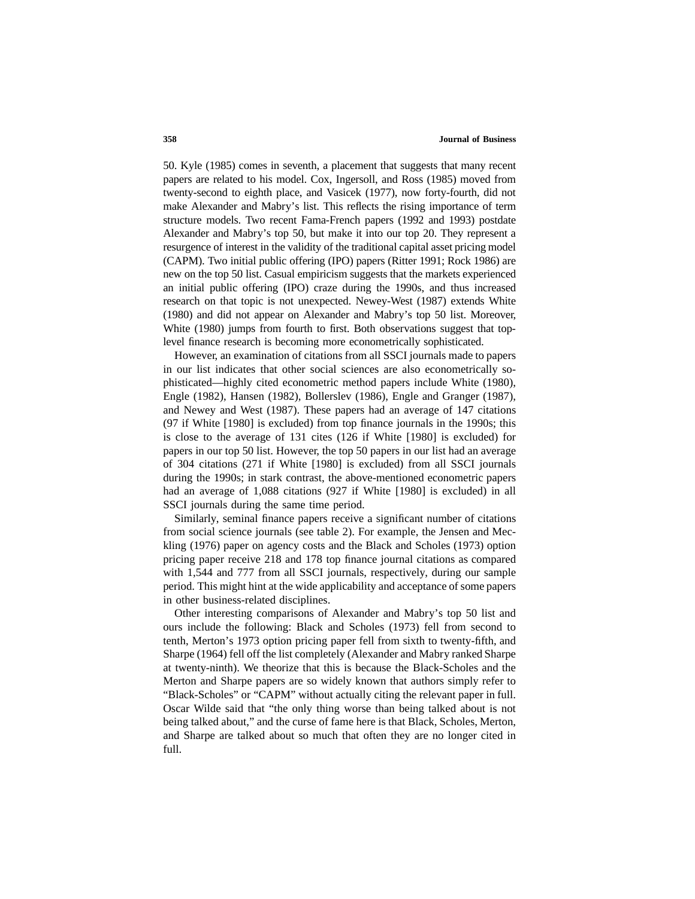50. Kyle (1985) comes in seventh, a placement that suggests that many recent papers are related to his model. Cox, Ingersoll, and Ross (1985) moved from twenty-second to eighth place, and Vasicek (1977), now forty-fourth, did not make Alexander and Mabry's list. This reflects the rising importance of term structure models. Two recent Fama-French papers (1992 and 1993) postdate Alexander and Mabry's top 50, but make it into our top 20. They represent a resurgence of interest in the validity of the traditional capital asset pricing model (CAPM). Two initial public offering (IPO) papers (Ritter 1991; Rock 1986) are new on the top 50 list. Casual empiricism suggests that the markets experienced an initial public offering (IPO) craze during the 1990s, and thus increased research on that topic is not unexpected. Newey-West (1987) extends White (1980) and did not appear on Alexander and Mabry's top 50 list. Moreover, White (1980) jumps from fourth to first. Both observations suggest that toplevel finance research is becoming more econometrically sophisticated.

However, an examination of citations from all SSCI journals made to papers in our list indicates that other social sciences are also econometrically sophisticated—highly cited econometric method papers include White (1980), Engle (1982), Hansen (1982), Bollerslev (1986), Engle and Granger (1987), and Newey and West (1987). These papers had an average of 147 citations (97 if White [1980] is excluded) from top finance journals in the 1990s; this is close to the average of 131 cites (126 if White [1980] is excluded) for papers in our top 50 list. However, the top 50 papers in our list had an average of 304 citations (271 if White [1980] is excluded) from all SSCI journals during the 1990s; in stark contrast, the above-mentioned econometric papers had an average of 1,088 citations (927 if White [1980] is excluded) in all SSCI journals during the same time period.

Similarly, seminal finance papers receive a significant number of citations from social science journals (see table 2). For example, the Jensen and Meckling (1976) paper on agency costs and the Black and Scholes (1973) option pricing paper receive 218 and 178 top finance journal citations as compared with 1,544 and 777 from all SSCI journals, respectively, during our sample period. This might hint at the wide applicability and acceptance of some papers in other business-related disciplines.

Other interesting comparisons of Alexander and Mabry's top 50 list and ours include the following: Black and Scholes (1973) fell from second to tenth, Merton's 1973 option pricing paper fell from sixth to twenty-fifth, and Sharpe (1964) fell off the list completely (Alexander and Mabry ranked Sharpe at twenty-ninth). We theorize that this is because the Black-Scholes and the Merton and Sharpe papers are so widely known that authors simply refer to "Black-Scholes" or "CAPM" without actually citing the relevant paper in full. Oscar Wilde said that "the only thing worse than being talked about is not being talked about," and the curse of fame here is that Black, Scholes, Merton, and Sharpe are talked about so much that often they are no longer cited in full.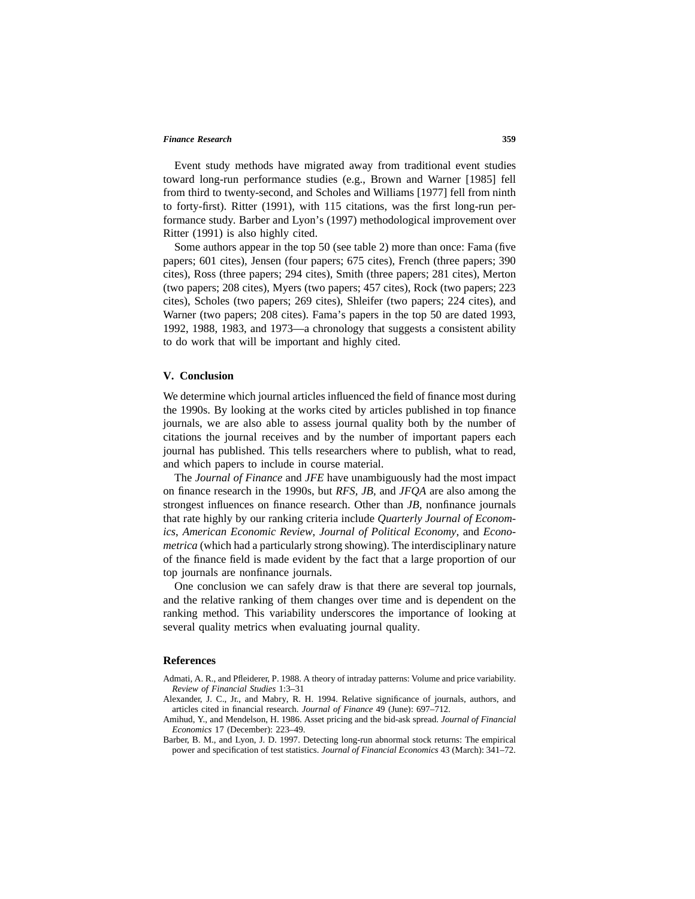Event study methods have migrated away from traditional event studies toward long-run performance studies (e.g., Brown and Warner [1985] fell from third to twenty-second, and Scholes and Williams [1977] fell from ninth to forty-first). Ritter (1991), with 115 citations, was the first long-run performance study. Barber and Lyon's (1997) methodological improvement over Ritter (1991) is also highly cited.

Some authors appear in the top 50 (see table 2) more than once: Fama (five papers; 601 cites), Jensen (four papers; 675 cites), French (three papers; 390 cites), Ross (three papers; 294 cites), Smith (three papers; 281 cites), Merton (two papers; 208 cites), Myers (two papers; 457 cites), Rock (two papers; 223 cites), Scholes (two papers; 269 cites), Shleifer (two papers; 224 cites), and Warner (two papers; 208 cites). Fama's papers in the top 50 are dated 1993, 1992, 1988, 1983, and 1973—a chronology that suggests a consistent ability to do work that will be important and highly cited.

#### **V. Conclusion**

We determine which journal articles influenced the field of finance most during the 1990s. By looking at the works cited by articles published in top finance journals, we are also able to assess journal quality both by the number of citations the journal receives and by the number of important papers each journal has published. This tells researchers where to publish, what to read, and which papers to include in course material.

The *Journal of Finance* and *JFE* have unambiguously had the most impact on finance research in the 1990s, but *RFS, JB,* and *JFQA* are also among the strongest influences on finance research. Other than *JB,* nonfinance journals that rate highly by our ranking criteria include *Quarterly Journal of Economics*, *American Economic Review*, *Journal of Political Economy*, and *Econometrica* (which had a particularly strong showing). The interdisciplinary nature of the finance field is made evident by the fact that a large proportion of our top journals are nonfinance journals.

One conclusion we can safely draw is that there are several top journals, and the relative ranking of them changes over time and is dependent on the ranking method. This variability underscores the importance of looking at several quality metrics when evaluating journal quality.

#### **References**

- Admati, A. R., and Pfleiderer, P. 1988. A theory of intraday patterns: Volume and price variability. *Review of Financial Studies* 1:3–31
- Alexander, J. C., Jr., and Mabry, R. H. 1994. Relative significance of journals, authors, and articles cited in financial research. *Journal of Finance* 49 (June): 697–712.
- Amihud, Y., and Mendelson, H. 1986. Asset pricing and the bid-ask spread. *Journal of Financial Economics* 17 (December): 223–49.
- Barber, B. M., and Lyon, J. D. 1997. Detecting long-run abnormal stock returns: The empirical power and specification of test statistics. *Journal of Financial Economics* 43 (March): 341–72.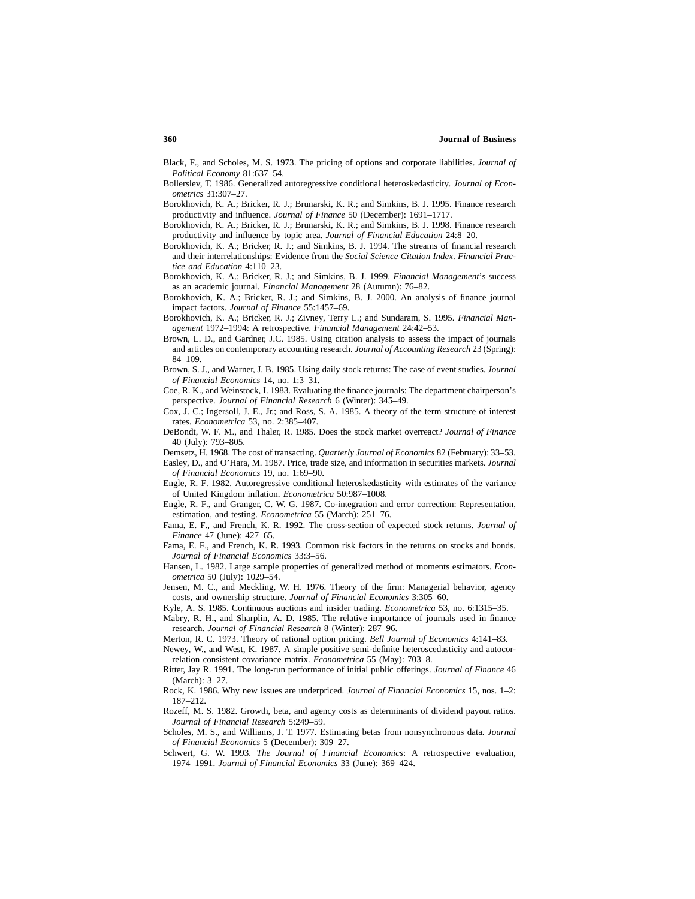#### **360 Journal of Business**

- Black, F., and Scholes, M. S. 1973. The pricing of options and corporate liabilities. *Journal of Political Economy* 81:637–54.
- Bollerslev, T. 1986. Generalized autoregressive conditional heteroskedasticity. *Journal of Econometrics* 31:307–27.
- Borokhovich, K. A.; Bricker, R. J.; Brunarski, K. R.; and Simkins, B. J. 1995. Finance research productivity and influence. *Journal of Finance* 50 (December): 1691–1717.
- Borokhovich, K. A.; Bricker, R. J.; Brunarski, K. R.; and Simkins, B. J. 1998. Finance research productivity and influence by topic area. *Journal of Financial Education* 24:8–20.
- Borokhovich, K. A.; Bricker, R. J.; and Simkins, B. J. 1994. The streams of financial research and their interrelationships: Evidence from the *Social Science Citation Index*. *Financial Practice and Education* 4:110–23.
- Borokhovich, K. A.; Bricker, R. J.; and Simkins, B. J. 1999. *Financial Management*'s success as an academic journal. *Financial Management* 28 (Autumn): 76–82.
- Borokhovich, K. A.; Bricker, R. J.; and Simkins, B. J. 2000. An analysis of finance journal impact factors. *Journal of Finance* 55:1457–69.
- Borokhovich, K. A.; Bricker, R. J.; Zivney, Terry L.; and Sundaram, S. 1995. *Financial Management* 1972–1994: A retrospective. *Financial Management* 24:42–53.
- Brown, L. D., and Gardner, J.C. 1985. Using citation analysis to assess the impact of journals and articles on contemporary accounting research. *Journal of Accounting Research* 23 (Spring): 84–109.
- Brown, S. J., and Warner, J. B. 1985. Using daily stock returns: The case of event studies. *Journal of Financial Economics* 14, no. 1:3–31.
- Coe, R. K., and Weinstock, I. 1983. Evaluating the finance journals: The department chairperson's perspective. *Journal of Financial Research* 6 (Winter): 345–49.
- Cox, J. C.; Ingersoll, J. E., Jr.; and Ross, S. A. 1985. A theory of the term structure of interest rates. *Econometrica* 53, no. 2:385–407.
- DeBondt, W. F. M., and Thaler, R. 1985. Does the stock market overreact? *Journal of Finance* 40 (July): 793–805.
- Demsetz, H. 1968. The cost of transacting. *Quarterly Journal of Economics* 82 (February): 33–53.
- Easley, D., and O'Hara, M. 1987. Price, trade size, and information in securities markets. *Journal of Financial Economics* 19, no. 1:69–90.
- Engle, R. F. 1982. Autoregressive conditional heteroskedasticity with estimates of the variance of United Kingdom inflation. *Econometrica* 50:987–1008.
- Engle, R. F., and Granger, C. W. G. 1987. Co-integration and error correction: Representation, estimation, and testing. *Econometrica* 55 (March): 251–76.
- Fama, E. F., and French, K. R. 1992. The cross-section of expected stock returns. *Journal of Finance* 47 (June): 427–65.
- Fama, E. F., and French, K. R. 1993. Common risk factors in the returns on stocks and bonds. *Journal of Financial Economics* 33:3–56.
- Hansen, L. 1982. Large sample properties of generalized method of moments estimators. *Econometrica* 50 (July): 1029–54.
- Jensen, M. C., and Meckling, W. H. 1976. Theory of the firm: Managerial behavior, agency costs, and ownership structure. *Journal of Financial Economics* 3:305–60.
- Kyle, A. S. 1985. Continuous auctions and insider trading. *Econometrica* 53, no. 6:1315–35.
- Mabry, R. H., and Sharplin, A. D. 1985. The relative importance of journals used in finance research. *Journal of Financial Research* 8 (Winter): 287–96.
- Merton, R. C. 1973. Theory of rational option pricing. *Bell Journal of Economics* 4:141–83.
- Newey, W., and West, K. 1987. A simple positive semi-definite heteroscedasticity and autocor-
- relation consistent covariance matrix. *Econometrica* 55 (May): 703–8.
- Ritter, Jay R. 1991. The long-run performance of initial public offerings. *Journal of Finance* 46 (March): 3–27.
- Rock, K. 1986. Why new issues are underpriced. *Journal of Financial Economics* 15, nos. 1–2: 187–212.
- Rozeff, M. S. 1982. Growth, beta, and agency costs as determinants of dividend payout ratios. *Journal of Financial Research* 5:249–59.
- Scholes, M. S., and Williams, J. T. 1977. Estimating betas from nonsynchronous data. *Journal of Financial Economics* 5 (December): 309–27.
- Schwert, G. W. 1993. *The Journal of Financial Economics*: A retrospective evaluation, 1974–1991. *Journal of Financial Economics* 33 (June): 369–424.